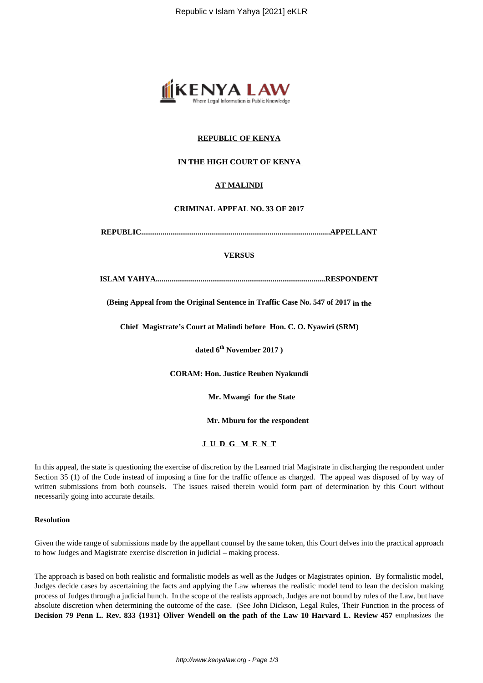

## **REPUBLIC OF KENYA**

## **IN THE HIGH COURT OF KENYA**

## **AT MALINDI**

#### **CRIMINAL APPEAL NO. 33 OF 2017**

**REPUBLIC.................................................................................................APPELLANT**

### **VERSUS**

**ISLAM YAHYA.......................................................................................RESPONDENT**

**(Being Appeal from the Original Sentence in Traffic Case No. 547 of 2017 in the**

**Chief Magistrate's Court at Malindi before Hon. C. O. Nyawiri (SRM)**

**dated 6th November 2017 )**

**CORAM: Hon. Justice Reuben Nyakundi**

 **Mr. Mwangi for the State**

 **Mr. Mburu for the respondent**

**J U D G M E N T**

In this appeal, the state is questioning the exercise of discretion by the Learned trial Magistrate in discharging the respondent under Section 35 (1) of the Code instead of imposing a fine for the traffic offence as charged. The appeal was disposed of by way of written submissions from both counsels. The issues raised therein would form part of determination by this Court without necessarily going into accurate details.

### **Resolution**

Given the wide range of submissions made by the appellant counsel by the same token, this Court delves into the practical approach to how Judges and Magistrate exercise discretion in judicial – making process.

The approach is based on both realistic and formalistic models as well as the Judges or Magistrates opinion. By formalistic model, Judges decide cases by ascertaining the facts and applying the Law whereas the realistic model tend to lean the decision making process of Judges through a judicial hunch. In the scope of the realists approach, Judges are not bound by rules of the Law, but have absolute discretion when determining the outcome of the case. (See John Dickson, Legal Rules, Their Function in the process of **Decision 79 Penn L. Rev. 833 {1931} Oliver Wendell on the path of the Law 10 Harvard L. Review 457** emphasizes the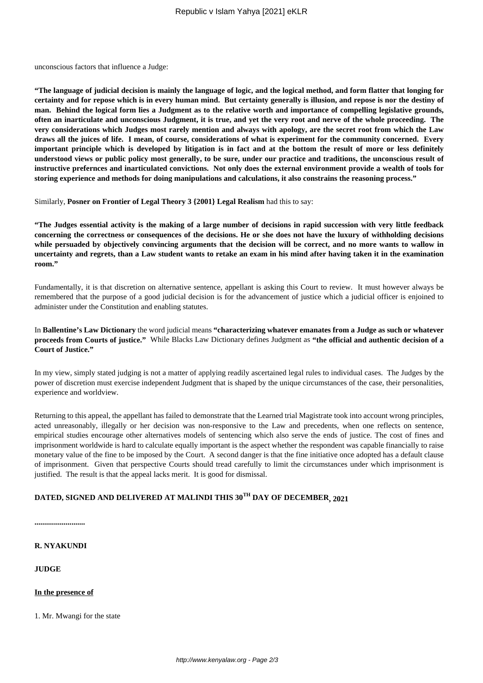unconscious factors that influence a Judge:

**"The language of judicial decision is mainly the language of logic, and the logical method, and form flatter that longing for certainty and for repose which is in every human mind. But certainty generally is illusion, and repose is nor the destiny of man. Behind the logical form lies a Judgment as to the relative worth and importance of compelling legislative grounds, often an inarticulate and unconscious Judgment, it is true, and yet the very root and nerve of the whole proceeding. The very considerations which Judges most rarely mention and always with apology, are the secret root from which the Law draws all the juices of life. I mean, of course, considerations of what is experiment for the community concerned. Every important principle which is developed by litigation is in fact and at the bottom the result of more or less definitely understood views or public policy most generally, to be sure, under our practice and traditions, the unconscious result of instructive prefernces and inarticulated convictions. Not only does the external environment provide a wealth of tools for storing experience and methods for doing manipulations and calculations, it also constrains the reasoning process."**

Similarly, **Posner on Frontier of Legal Theory 3 {2001} Legal Realism** had this to say:

**"The Judges essential activity is the making of a large number of decisions in rapid succession with very little feedback concerning the correctness or consequences of the decisions. He or she does not have the luxury of withholding decisions while persuaded by objectively convincing arguments that the decision will be correct, and no more wants to wallow in uncertainty and regrets, than a Law student wants to retake an exam in his mind after having taken it in the examination room."**

Fundamentally, it is that discretion on alternative sentence, appellant is asking this Court to review. It must however always be remembered that the purpose of a good judicial decision is for the advancement of justice which a judicial officer is enjoined to administer under the Constitution and enabling statutes.

In **Ballentine's Law Dictionary** the word judicial means **"characterizing whatever emanates from a Judge as such or whatever proceeds from Courts of justice."** While Blacks Law Dictionary defines Judgment as **"the official and authentic decision of a Court of Justice."**

In my view, simply stated judging is not a matter of applying readily ascertained legal rules to individual cases. The Judges by the power of discretion must exercise independent Judgment that is shaped by the unique circumstances of the case, their personalities, experience and worldview.

Returning to this appeal, the appellant has failed to demonstrate that the Learned trial Magistrate took into account wrong principles, acted unreasonably, illegally or her decision was non-responsive to the Law and precedents, when one reflects on sentence, empirical studies encourage other alternatives models of sentencing which also serve the ends of justice. The cost of fines and imprisonment worldwide is hard to calculate equally important is the aspect whether the respondent was capable financially to raise monetary value of the fine to be imposed by the Court. A second danger is that the fine initiative once adopted has a default clause of imprisonment. Given that perspective Courts should tread carefully to limit the circumstances under which imprisonment is justified. The result is that the appeal lacks merit. It is good for dismissal.

# **DATED, SIGNED AND DELIVERED AT MALINDI THIS 30TH DAY OF DECEMBER, 2021**

**..........................**

**R. NYAKUNDI**

**JUDGE**

**In the presence of**

1. Mr. Mwangi for the state